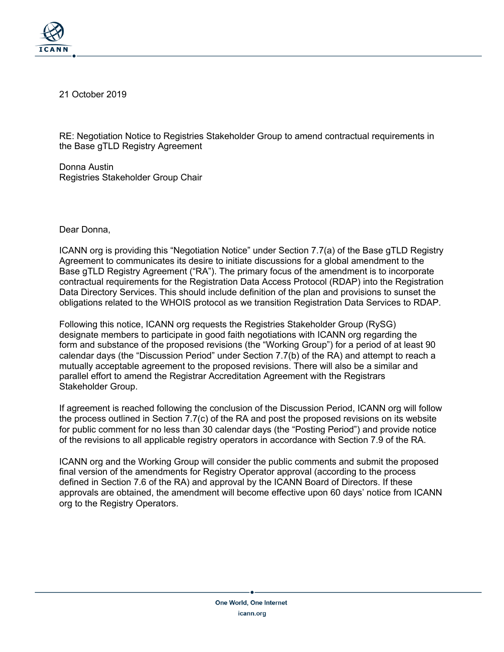

21 October 2019

RE: Negotiation Notice to Registries Stakeholder Group to amend contractual requirements in the Base gTLD Registry Agreement

Donna Austin Registries Stakeholder Group Chair

Dear Donna,

ICANN org is providing this "Negotiation Notice" under Section 7.7(a) of the Base gTLD Registry Agreement to communicates its desire to initiate discussions for a global amendment to the Base gTLD Registry Agreement ("RA"). The primary focus of the amendment is to incorporate contractual requirements for the Registration Data Access Protocol (RDAP) into the Registration Data Directory Services. This should include definition of the plan and provisions to sunset the obligations related to the WHOIS protocol as we transition Registration Data Services to RDAP.

Following this notice, ICANN org requests the Registries Stakeholder Group (RySG) designate members to participate in good faith negotiations with ICANN org regarding the form and substance of the proposed revisions (the "Working Group") for a period of at least 90 calendar days (the "Discussion Period" under Section 7.7(b) of the RA) and attempt to reach a mutually acceptable agreement to the proposed revisions. There will also be a similar and parallel effort to amend the Registrar Accreditation Agreement with the Registrars Stakeholder Group.

If agreement is reached following the conclusion of the Discussion Period, ICANN org will follow the process outlined in Section 7.7(c) of the RA and post the proposed revisions on its website for public comment for no less than 30 calendar days (the "Posting Period") and provide notice of the revisions to all applicable registry operators in accordance with Section 7.9 of the RA.

ICANN org and the Working Group will consider the public comments and submit the proposed final version of the amendments for Registry Operator approval (according to the process defined in Section 7.6 of the RA) and approval by the ICANN Board of Directors. If these approvals are obtained, the amendment will become effective upon 60 days' notice from ICANN org to the Registry Operators.